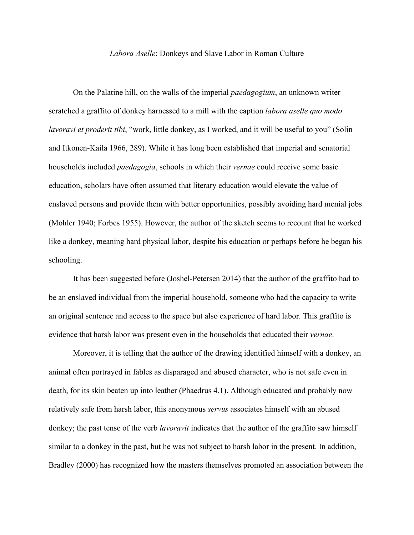## *Labora Aselle*: Donkeys and Slave Labor in Roman Culture

On the Palatine hill, on the walls of the imperial *paedagogium*, an unknown writer scratched a graffito of donkey harnessed to a mill with the caption *labora aselle quo modo lavoravi et proderit tibi*, "work, little donkey, as I worked, and it will be useful to you" (Solin and Itkonen-Kaila 1966, 289). While it has long been established that imperial and senatorial households included *paedagogia*, schools in which their *vernae* could receive some basic education, scholars have often assumed that literary education would elevate the value of enslaved persons and provide them with better opportunities, possibly avoiding hard menial jobs (Mohler 1940; Forbes 1955). However, the author of the sketch seems to recount that he worked like a donkey, meaning hard physical labor, despite his education or perhaps before he began his schooling.

It has been suggested before (Joshel-Petersen 2014) that the author of the graffito had to be an enslaved individual from the imperial household, someone who had the capacity to write an original sentence and access to the space but also experience of hard labor. This graffito is evidence that harsh labor was present even in the households that educated their *vernae*.

Moreover, it is telling that the author of the drawing identified himself with a donkey, an animal often portrayed in fables as disparaged and abused character, who is not safe even in death, for its skin beaten up into leather (Phaedrus 4.1). Although educated and probably now relatively safe from harsh labor, this anonymous *servus* associates himself with an abused donkey; the past tense of the verb *lavoravit* indicates that the author of the graffito saw himself similar to a donkey in the past, but he was not subject to harsh labor in the present. In addition, Bradley (2000) has recognized how the masters themselves promoted an association between the